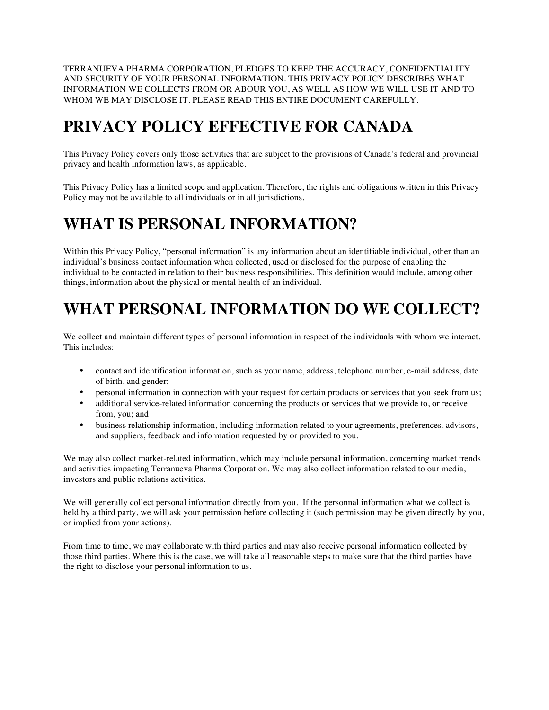TERRANUEVA PHARMA CORPORATION, PLEDGES TO KEEP THE ACCURACY, CONFIDENTIALITY AND SECURITY OF YOUR PERSONAL INFORMATION. THIS PRIVACY POLICY DESCRIBES WHAT INFORMATION WE COLLECTS FROM OR ABOUR YOU, AS WELL AS HOW WE WILL USE IT AND TO WHOM WE MAY DISCLOSE IT. PLEASE READ THIS ENTIRE DOCUMENT CAREFULLY.

## **PRIVACY POLICY EFFECTIVE FOR CANADA**

This Privacy Policy covers only those activities that are subject to the provisions of Canada's federal and provincial privacy and health information laws, as applicable.

This Privacy Policy has a limited scope and application. Therefore, the rights and obligations written in this Privacy Policy may not be available to all individuals or in all jurisdictions.

### **WHAT IS PERSONAL INFORMATION?**

Within this Privacy Policy, "personal information" is any information about an identifiable individual, other than an individual's business contact information when collected, used or disclosed for the purpose of enabling the individual to be contacted in relation to their business responsibilities. This definition would include, among other things, information about the physical or mental health of an individual.

# **WHAT PERSONAL INFORMATION DO WE COLLECT?**

We collect and maintain different types of personal information in respect of the individuals with whom we interact. This includes:

- contact and identification information, such as your name, address, telephone number, e-mail address, date of birth, and gender;
- personal information in connection with your request for certain products or services that you seek from us;
- additional service-related information concerning the products or services that we provide to, or receive from, you; and
- business relationship information, including information related to your agreements, preferences, advisors, and suppliers, feedback and information requested by or provided to you.

We may also collect market-related information, which may include personal information, concerning market trends and activities impacting Terranueva Pharma Corporation. We may also collect information related to our media, investors and public relations activities.

We will generally collect personal information directly from you. If the personnal information what we collect is held by a third party, we will ask your permission before collecting it (such permission may be given directly by you, or implied from your actions).

From time to time, we may collaborate with third parties and may also receive personal information collected by those third parties. Where this is the case, we will take all reasonable steps to make sure that the third parties have the right to disclose your personal information to us.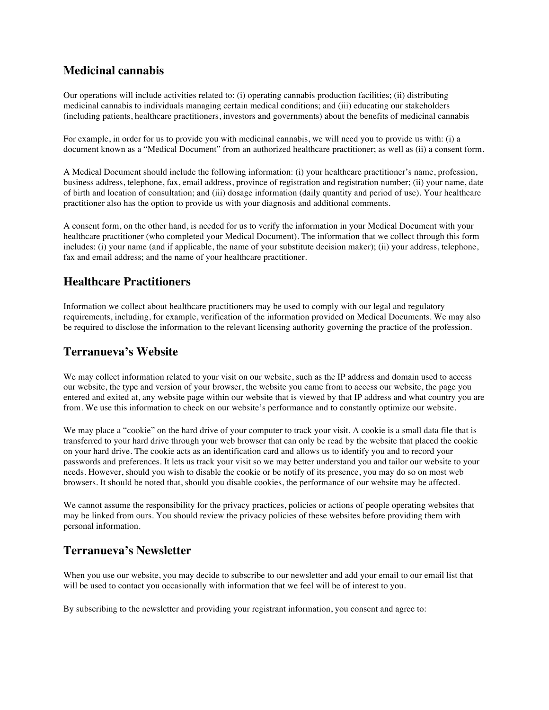### **Medicinal cannabis**

Our operations will include activities related to: (i) operating cannabis production facilities; (ii) distributing medicinal cannabis to individuals managing certain medical conditions; and (iii) educating our stakeholders (including patients, healthcare practitioners, investors and governments) about the benefits of medicinal cannabis

For example, in order for us to provide you with medicinal cannabis, we will need you to provide us with: (i) a document known as a "Medical Document" from an authorized healthcare practitioner; as well as (ii) a consent form.

A Medical Document should include the following information: (i) your healthcare practitioner's name, profession, business address, telephone, fax, email address, province of registration and registration number; (ii) your name, date of birth and location of consultation; and (iii) dosage information (daily quantity and period of use). Your healthcare practitioner also has the option to provide us with your diagnosis and additional comments.

A consent form, on the other hand, is needed for us to verify the information in your Medical Document with your healthcare practitioner (who completed your Medical Document). The information that we collect through this form includes: (i) your name (and if applicable, the name of your substitute decision maker); (ii) your address, telephone, fax and email address; and the name of your healthcare practitioner.

### **Healthcare Practitioners**

Information we collect about healthcare practitioners may be used to comply with our legal and regulatory requirements, including, for example, verification of the information provided on Medical Documents. We may also be required to disclose the information to the relevant licensing authority governing the practice of the profession.

### **Terranueva's Website**

We may collect information related to your visit on our website, such as the IP address and domain used to access our website, the type and version of your browser, the website you came from to access our website, the page you entered and exited at, any website page within our website that is viewed by that IP address and what country you are from. We use this information to check on our website's performance and to constantly optimize our website.

We may place a "cookie" on the hard drive of your computer to track your visit. A cookie is a small data file that is transferred to your hard drive through your web browser that can only be read by the website that placed the cookie on your hard drive. The cookie acts as an identification card and allows us to identify you and to record your passwords and preferences. It lets us track your visit so we may better understand you and tailor our website to your needs. However, should you wish to disable the cookie or be notify of its presence, you may do so on most web browsers. It should be noted that, should you disable cookies, the performance of our website may be affected.

We cannot assume the responsibility for the privacy practices, policies or actions of people operating websites that may be linked from ours. You should review the privacy policies of these websites before providing them with personal information.

#### **Terranueva's Newsletter**

When you use our website, you may decide to subscribe to our newsletter and add your email to our email list that will be used to contact you occasionally with information that we feel will be of interest to you.

By subscribing to the newsletter and providing your registrant information, you consent and agree to: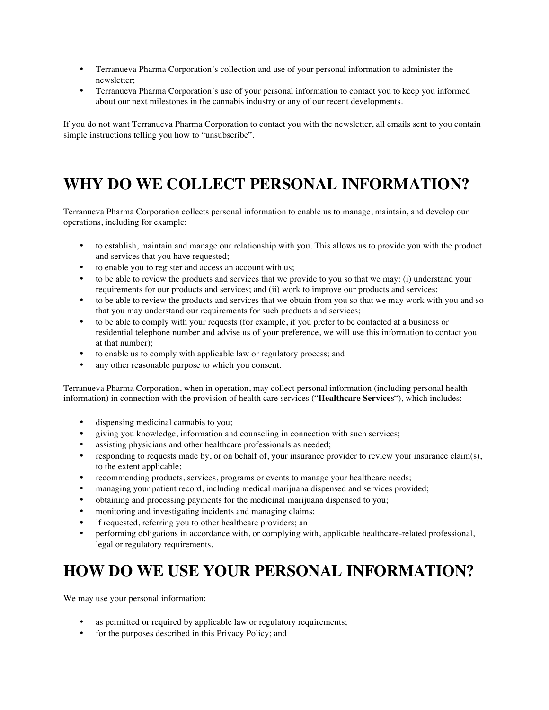- Terranueva Pharma Corporation's collection and use of your personal information to administer the newsletter;
- Terranueva Pharma Corporation's use of your personal information to contact you to keep you informed about our next milestones in the cannabis industry or any of our recent developments.

If you do not want Terranueva Pharma Corporation to contact you with the newsletter, all emails sent to you contain simple instructions telling you how to "unsubscribe".

## **WHY DO WE COLLECT PERSONAL INFORMATION?**

Terranueva Pharma Corporation collects personal information to enable us to manage, maintain, and develop our operations, including for example:

- to establish, maintain and manage our relationship with you. This allows us to provide you with the product and services that you have requested;
- to enable you to register and access an account with us;
- to be able to review the products and services that we provide to you so that we may: (i) understand your requirements for our products and services; and (ii) work to improve our products and services;
- to be able to review the products and services that we obtain from you so that we may work with you and so that you may understand our requirements for such products and services;
- to be able to comply with your requests (for example, if you prefer to be contacted at a business or residential telephone number and advise us of your preference, we will use this information to contact you at that number);
- to enable us to comply with applicable law or regulatory process; and
- any other reasonable purpose to which you consent.

Terranueva Pharma Corporation, when in operation, may collect personal information (including personal health information) in connection with the provision of health care services ("**Healthcare Services**"), which includes:

- dispensing medicinal cannabis to you;
- giving you knowledge, information and counseling in connection with such services;
- assisting physicians and other healthcare professionals as needed;
- responding to requests made by, or on behalf of, your insurance provider to review your insurance claim(s), to the extent applicable;
- recommending products, services, programs or events to manage your healthcare needs;
- managing your patient record, including medical marijuana dispensed and services provided;
- obtaining and processing payments for the medicinal marijuana dispensed to you;
- monitoring and investigating incidents and managing claims;
- if requested, referring you to other healthcare providers; an
- performing obligations in accordance with, or complying with, applicable healthcare-related professional, legal or regulatory requirements.

### **HOW DO WE USE YOUR PERSONAL INFORMATION?**

We may use your personal information:

- as permitted or required by applicable law or regulatory requirements;
- for the purposes described in this Privacy Policy; and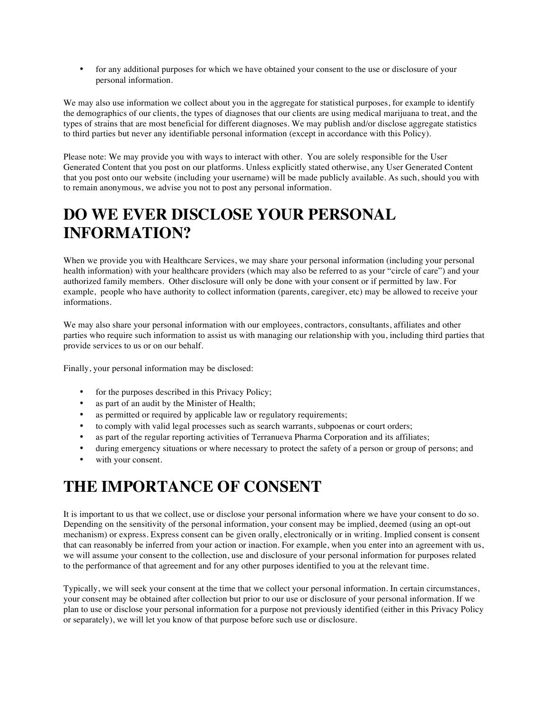• for any additional purposes for which we have obtained your consent to the use or disclosure of your personal information.

We may also use information we collect about you in the aggregate for statistical purposes, for example to identify the demographics of our clients, the types of diagnoses that our clients are using medical marijuana to treat, and the types of strains that are most beneficial for different diagnoses. We may publish and/or disclose aggregate statistics to third parties but never any identifiable personal information (except in accordance with this Policy).

Please note: We may provide you with ways to interact with other. You are solely responsible for the User Generated Content that you post on our platforms. Unless explicitly stated otherwise, any User Generated Content that you post onto our website (including your username) will be made publicly available. As such, should you with to remain anonymous, we advise you not to post any personal information.

# **DO WE EVER DISCLOSE YOUR PERSONAL INFORMATION?**

When we provide you with Healthcare Services, we may share your personal information (including your personal health information) with your healthcare providers (which may also be referred to as your "circle of care") and your authorized family members. Other disclosure will only be done with your consent or if permitted by law. For example, people who have authority to collect information (parents, caregiver, etc) may be allowed to receive your informations.

We may also share your personal information with our employees, contractors, consultants, affiliates and other parties who require such information to assist us with managing our relationship with you, including third parties that provide services to us or on our behalf.

Finally, your personal information may be disclosed:

- for the purposes described in this Privacy Policy;
- as part of an audit by the Minister of Health;
- as permitted or required by applicable law or regulatory requirements;
- to comply with valid legal processes such as search warrants, subpoenas or court orders;
- as part of the regular reporting activities of Terranueva Pharma Corporation and its affiliates;
- during emergency situations or where necessary to protect the safety of a person or group of persons; and
- with your consent.

## **THE IMPORTANCE OF CONSENT**

It is important to us that we collect, use or disclose your personal information where we have your consent to do so. Depending on the sensitivity of the personal information, your consent may be implied, deemed (using an opt-out mechanism) or express. Express consent can be given orally, electronically or in writing. Implied consent is consent that can reasonably be inferred from your action or inaction. For example, when you enter into an agreement with us, we will assume your consent to the collection, use and disclosure of your personal information for purposes related to the performance of that agreement and for any other purposes identified to you at the relevant time.

Typically, we will seek your consent at the time that we collect your personal information. In certain circumstances, your consent may be obtained after collection but prior to our use or disclosure of your personal information. If we plan to use or disclose your personal information for a purpose not previously identified (either in this Privacy Policy or separately), we will let you know of that purpose before such use or disclosure.